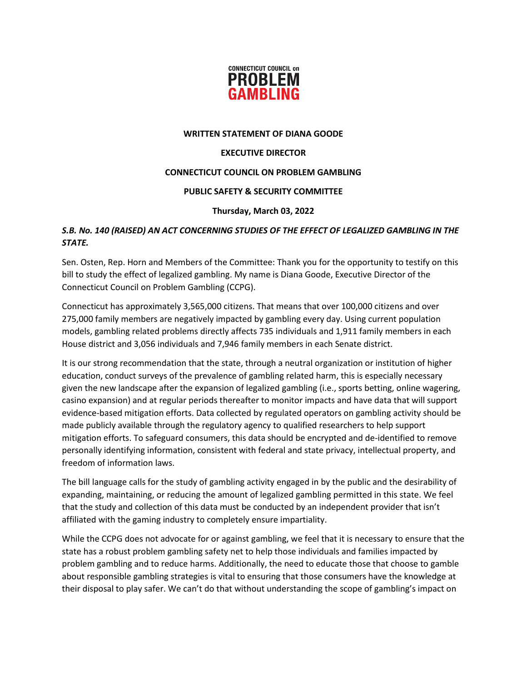

#### **WRITTEN STATEMENT OF DIANA GOODE**

#### **EXECUTIVE DIRECTOR**

## **CONNECTICUT COUNCIL ON PROBLEM GAMBLING**

## **PUBLIC SAFETY & SECURITY COMMITTEE**

## **Thursday, March 03, 2022**

# *S.B. No. 140 (RAISED) AN ACT CONCERNING STUDIES OF THE EFFECT OF LEGALIZED GAMBLING IN THE STATE.*

Sen. Osten, Rep. Horn and Members of the Committee: Thank you for the opportunity to testify on this bill to study the effect of legalized gambling. My name is Diana Goode, Executive Director of the Connecticut Council on Problem Gambling (CCPG).

Connecticut has approximately 3,565,000 citizens. That means that over 100,000 citizens and over 275,000 family members are negatively impacted by gambling every day. Using current population models, gambling related problems directly affects 735 individuals and 1,911 family members in each House district and 3,056 individuals and 7,946 family members in each Senate district.

It is our strong recommendation that the state, through a neutral organization or institution of higher education, conduct surveys of the prevalence of gambling related harm, this is especially necessary given the new landscape after the expansion of legalized gambling (i.e., sports betting, online wagering, casino expansion) and at regular periods thereafter to monitor impacts and have data that will support evidence-based mitigation efforts. Data collected by regulated operators on gambling activity should be made publicly available through the regulatory agency to qualified researchers to help support mitigation efforts. To safeguard consumers, this data should be encrypted and de-identified to remove personally identifying information, consistent with federal and state privacy, intellectual property, and freedom of information laws.

The bill language calls for the study of gambling activity engaged in by the public and the desirability of expanding, maintaining, or reducing the amount of legalized gambling permitted in this state. We feel that the study and collection of this data must be conducted by an independent provider that isn't affiliated with the gaming industry to completely ensure impartiality.

While the CCPG does not advocate for or against gambling, we feel that it is necessary to ensure that the state has a robust problem gambling safety net to help those individuals and families impacted by problem gambling and to reduce harms. Additionally, the need to educate those that choose to gamble about responsible gambling strategies is vital to ensuring that those consumers have the knowledge at their disposal to play safer. We can't do that without understanding the scope of gambling's impact on